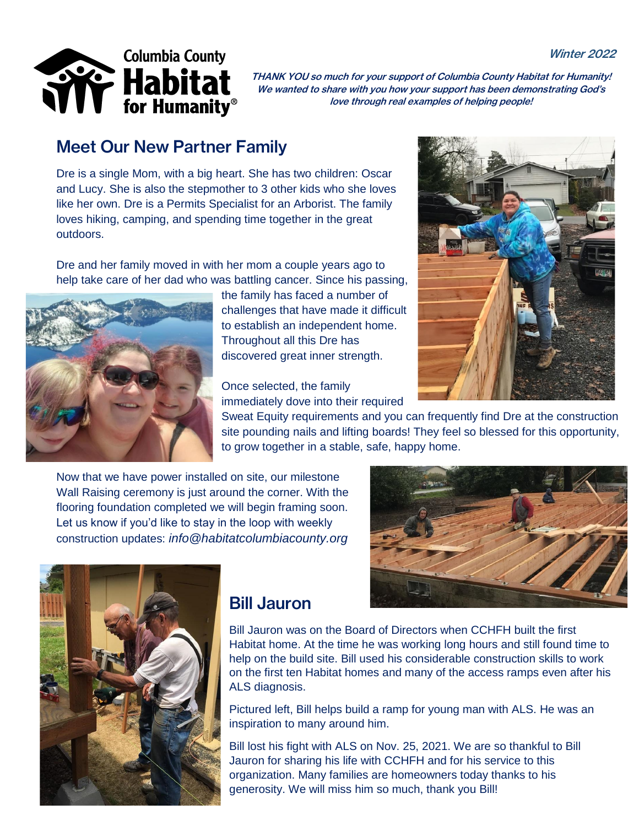#### Winter 2022



THANK YOU so much for your support of Columbia County Habitat for Humanity! We wanted to share with you how your support has been demonstrating God's love through real examples of helping people!

### Meet Our New Partner Family

Dre is a single Mom, with a big heart. She has two children: Oscar and Lucy. She is also the stepmother to 3 other kids who she loves like her own. Dre is a Permits Specialist for an Arborist. The family loves hiking, camping, and spending time together in the great outdoors.

Dre and her family moved in with her mom a couple years ago to help take care of her dad who was battling cancer. Since his passing,



the family has faced a number of challenges that have made it difficult to establish an independent home. Throughout all this Dre has discovered great inner strength.

Once selected, the family immediately dove into their required

Sweat Equity requirements and you can frequently find Dre at the construction site pounding nails and lifting boards! They feel so blessed for this opportunity, to grow together in a stable, safe, happy home.

Now that we have power installed on site, our milestone Wall Raising ceremony is just around the corner. With the flooring foundation completed we will begin framing soon. Let us know if you'd like to stay in the loop with weekly construction updates: *info@habitatcolumbiacounty.org*





#### Bill Jauron

Bill Jauron was on the Board of Directors when CCHFH built the first Habitat home. At the time he was working long hours and still found time to help on the build site. Bill used his considerable construction skills to work on the first ten Habitat homes and many of the access ramps even after his ALS diagnosis.

Pictured left, Bill helps build a ramp for young man with ALS. He was an inspiration to many around him.

Bill lost his fight with ALS on Nov. 25, 2021. We are so thankful to Bill Jauron for sharing his life with CCHFH and for his service to this organization. Many families are homeowners today thanks to his generosity. We will miss him so much, thank you Bill!